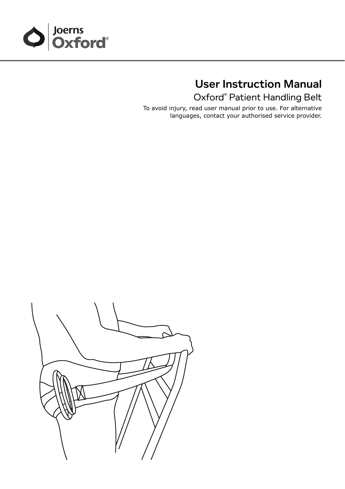

# User Instruction Manual

Oxford® Patient Handling Belt

To avoid injury, read user manual prior to use. For alternative languages, contact your authorised service provider.

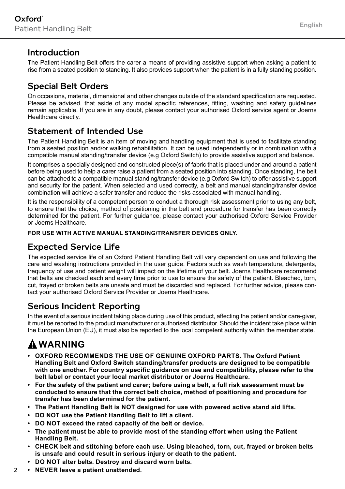#### Introduction

The Patient Handling Belt offers the carer a means of providing assistive support when asking a patient to rise from a seated position to standing. It also provides support when the patient is in a fully standing position.

#### Special Belt Orders

On occasions, material, dimensional and other changes outside of the standard specification are requested. Please be advised, that aside of any model specific references, fitting, washing and safety guidelines remain applicable. If you are in any doubt, please contact your authorised Oxford service agent or Joerns Healthcare directly.

#### Statement of Intended Use

The Patient Handling Belt is an item of moving and handling equipment that is used to facilitate standing from a seated position and/or walking rehabilitation. It can be used independently or in combination with a compatible manual standing/transfer device (e.g Oxford Switch) to provide assistive support and balance.

It comprises a specially designed and constructed piece(s) of fabric that is placed under and around a patient before being used to help a carer raise a patient from a seated position into standing. Once standing, the belt can be attached to a compatible manual standing/transfer device (e.g Oxford Switch) to offer assistive support and security for the patient. When selected and used correctly, a belt and manual standing/transfer device combination will achieve a safer transfer and reduce the risks associated with manual handling.

It is the responsibility of a competent person to conduct a thorough risk assessment prior to using any belt, to ensure that the choice, method of positioning in the belt and procedure for transfer has been correctly determined for the patient. For further guidance, please contact your authorised Oxford Service Provider or Joerns Healthcare.

#### **FOR USE WITH ACTIVE MANUAL STANDING/TRANSFER DEVICES ONLY.**

#### Expected Service Life

The expected service life of an Oxford Patient Handling Belt will vary dependent on use and following the care and washing instructions provided in the user guide. Factors such as wash temperature, detergents frequency of use and patient weight will impact on the lifetime of your belt. Joerns Healthcare recommend that belts are checked each and every time prior to use to ensure the safety of the patient. Bleached, torn, cut, frayed or broken belts are unsafe and must be discarded and replaced. For further advice, please contact your authorised Oxford Service Provider or Joerns Healthcare.

#### Serious Incident Reporting

In the event of a serious incident taking place during use of this product, affecting the patient and/or care-giver, it must be reported to the product manufacturer or authorised distributor. Should the incident take place within the European Union (EU), it must also be reported to the local competent authority within the member state.

## **WARNING**

- **• OXFORD RECOMMENDS THE USE OF GENUINE OXFORD PARTS. The Oxford Patient Handling Belt and Oxford Switch standing/transfer products are designed to be compatible with one another. For country specific guidance on use and compatibility, please refer to the belt label or contact your local market distributor or Joerns Healthcare.**
- **• For the safety of the patient and carer; before using a belt, a full risk assessment must be conducted to ensure that the correct belt choice, method of positioning and procedure for transfer has been determined for the patient.**
- **• The Patient Handling Belt is NOT designed for use with powered active stand aid lifts.**
- **• DO NOT use the Patient Handling Belt to lift a client.**
- **• DO NOT exceed the rated capacity of the belt or device.**
- **• The patient must be able to provide most of the standing effort when using the Patient Handling Belt.**
- **• CHECK belt and stitching before each use. Using bleached, torn, cut, frayed or broken belts is unsafe and could result in serious injury or death to the patient.**
- **• DO NOT alter belts. Destroy and discard worn belts.**
- $\mathfrak{2}$ **• NEVER leave a patient unattended.**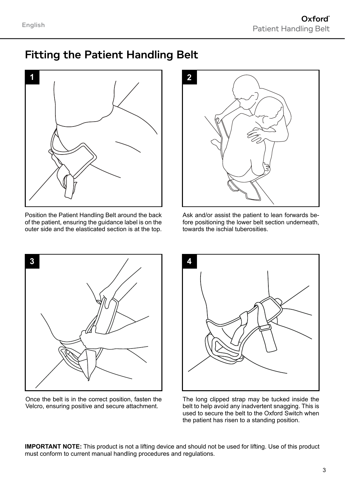## Fitting the Patient Handling Belt



Position the Patient Handling Belt around the back of the patient, ensuring the guidance label is on the outer side and the elasticated section is at the top.



Ask and/or assist the patient to lean forwards before positioning the lower belt section underneath, towards the ischial tuberosities.



Once the belt is in the correct position, fasten the Velcro, ensuring positive and secure attachment.



The long clipped strap may be tucked inside the belt to help avoid any inadvertent snagging. This is used to secure the belt to the Oxford Switch when the patient has risen to a standing position.

**IMPORTANT NOTE:** This product is not a lifting device and should not be used for lifting. Use of this product must conform to current manual handling procedures and regulations.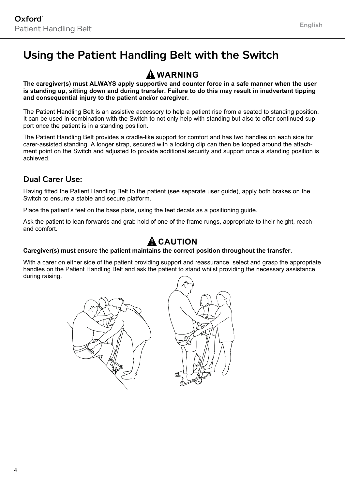## Using the Patient Handling Belt with the Switch

### **WARNING**

**The caregiver(s) must ALWAYS apply supportive and counter force in a safe manner when the user is standing up, sitting down and during transfer. Failure to do this may result in inadvertent tipping and consequential injury to the patient and/or caregiver.**

The Patient Handling Belt is an assistive accessory to help a patient rise from a seated to standing position. It can be used in combination with the Switch to not only help with standing but also to offer continued support once the patient is in a standing position.

The Patient Handling Belt provides a cradle-like support for comfort and has two handles on each side for carer-assisted standing. A longer strap, secured with a locking clip can then be looped around the attachment point on the Switch and adjusted to provide additional security and support once a standing position is achieved.

#### Dual Carer Use:

Having fitted the Patient Handling Belt to the patient (see separate user guide), apply both brakes on the Switch to ensure a stable and secure platform.

Place the patient's feet on the base plate, using the feet decals as a positioning guide.

Ask the patient to lean forwards and grab hold of one of the frame rungs, appropriate to their height, reach and comfort.

### **A** CAUTION

#### **Caregiver(s) must ensure the patient maintains the correct position throughout the transfer.**

With a carer on either side of the patient providing support and reassurance, select and grasp the appropriate handles on the Patient Handling Belt and ask the patient to stand whilst providing the necessary assistance during raising.



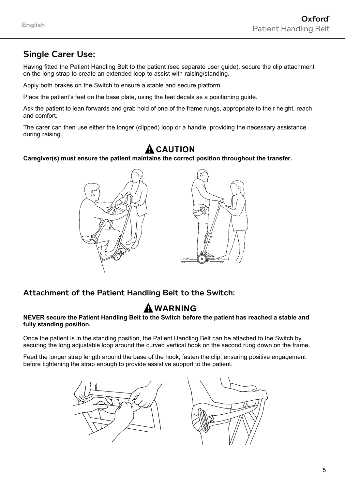### Single Carer Use:

Having fitted the Patient Handling Belt to the patient (see separate user guide), secure the clip attachment on the long strap to create an extended loop to assist with raising/standing.

Apply both brakes on the Switch to ensure a stable and secure platform.

Place the patient's feet on the base plate, using the feet decals as a positioning guide.

Ask the patient to lean forwards and grab hold of one of the frame rungs, appropriate to their height, reach and comfort.

The carer can then use either the longer (clipped) loop or a handle, providing the necessary assistance during raising.

### **A** CAUTION

#### **Caregiver(s) must ensure the patient maintains the correct position throughout the transfer.**



Attachment of the Patient Handling Belt to the Switch:

### **WARNING**

#### **NEVER secure the Patient Handling Belt to the Switch before the patient has reached a stable and fully standing position.**

Once the patient is in the standing position, the Patient Handling Belt can be attached to the Switch by securing the long adjustable loop around the curved vertical hook on the second rung down on the frame.

Feed the longer strap length around the base of the hook, fasten the clip, ensuring positive engagement before tightening the strap enough to provide assistive support to the patient.



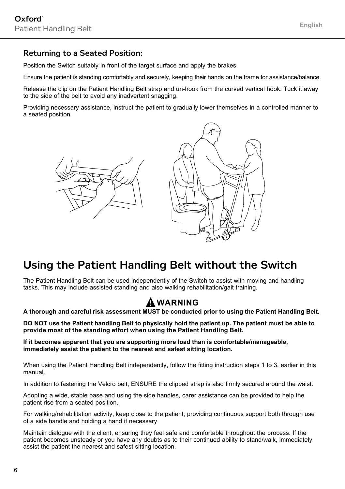#### Returning to a Seated Position:

Position the Switch suitably in front of the target surface and apply the brakes.

Ensure the patient is standing comfortably and securely, keeping their hands on the frame for assistance/balance.

Release the clip on the Patient Handling Belt strap and un-hook from the curved vertical hook. Tuck it away to the side of the belt to avoid any inadvertent snagging.

Providing necessary assistance, instruct the patient to gradually lower themselves in a controlled manner to a seated position.





## Using the Patient Handling Belt without the Switch

The Patient Handling Belt can be used independently of the Switch to assist with moving and handling tasks. This may include assisted standing and also walking rehabilitation/gait training.

### **WARNING**

**A thorough and careful risk assessment MUST be conducted prior to using the Patient Handling Belt.**

**DO NOT use the Patient handling Belt to physically hold the patient up. The patient must be able to provide most of the standing effort when using the Patient Handling Belt.**

**If it becomes apparent that you are supporting more load than is comfortable/manageable, immediately assist the patient to the nearest and safest sitting location.**

When using the Patient Handling Belt independently, follow the fitting instruction steps 1 to 3, earlier in this manual.

In addition to fastening the Velcro belt, ENSURE the clipped strap is also firmly secured around the waist.

Adopting a wide, stable base and using the side handles, carer assistance can be provided to help the patient rise from a seated position.

For walking/rehabilitation activity, keep close to the patient, providing continuous support both through use of a side handle and holding a hand if necessary

Maintain dialogue with the client, ensuring they feel safe and comfortable throughout the process. If the patient becomes unsteady or you have any doubts as to their continued ability to stand/walk, immediately assist the patient the nearest and safest sitting location.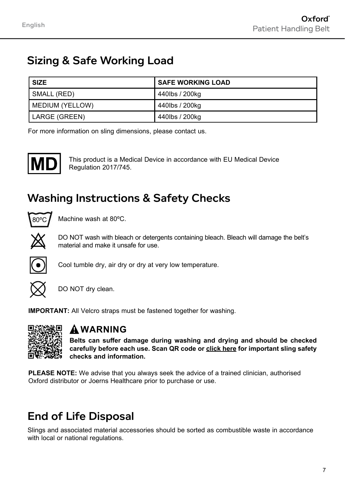## Sizing & Safe Working Load

| <b>SIZE</b>     | <b>SAFE WORKING LOAD</b> |
|-----------------|--------------------------|
| SMALL (RED)     | 440lbs / 200kg           |
| MEDIUM (YELLOW) | 440lbs / 200kg           |
| LARGE (GREEN)   | 440lbs / 200kg           |

For more information on sling dimensions, please contact us.



This product is a Medical Device in accordance with EU Medical Device Regulation 2017/745.

## Washing Instructions & Safety Checks



Machine wash at 80ºC.



DO NOT wash with bleach or detergents containing bleach. Bleach will damage the belt's material and make it unsafe for use.



Cool tumble dry, air dry or dry at very low temperature.



DO NOT dry clean.

**IMPORTANT:** All Velcro straps must be fastened together for washing.



#### **WARNING**

**Belts can suffer damage during washing and drying and should be checked carefully before each use. Scan QR code or [click here](https://joerns.co.uk/download/oxford-sling-safety-checks/) for important sling safety checks and information.**

**PLEASE NOTE:** We advise that you always seek the advice of a trained clinician, authorised Oxford distributor or Joerns Healthcare prior to purchase or use.

## End of Life Disposal

Slings and associated material accessories should be sorted as combustible waste in accordance with local or national regulations.